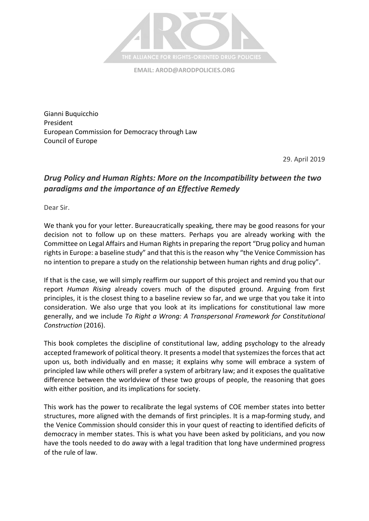

**EMAIL: [AROD@ARODPOLICIES.ORG](mailto:AROD@ARODPOLICIES.ORG)**

Gianni Buquicchio President European Commission for Democracy through Law Council of Europe

29. April 2019

## *Drug Policy and Human Rights: More on the Incompatibility between the two paradigms and the importance of an Effective Remedy*

Dear Sir.

We thank you for your letter. Bureaucratically speaking, there may be good reasons for your decision not to follow up on these matters. Perhaps you are already working with the Committee on Legal Affairs and Human Rights in preparing the report "Drug policy and human rights in Europe: a baseline study" and that this is the reason why "the Venice Commission has no intention to prepare a study on the relationship between human rights and drug policy".

If that is the case, we will simply reaffirm our support of this project and remind you that our report *Human Rising* already covers much of the disputed ground. Arguing from first principles, it is the closest thing to a baseline review so far, and we urge that you take it into consideration. We also urge that you look at its implications for constitutional law more generally, and we include *To Right a Wrong: A Transpersonal Framework for Constitutional Construction* (2016).

This book completes the discipline of constitutional law, adding psychology to the already accepted framework of political theory. It presents a model that systemizes the forces that act upon us, both individually and en masse; it explains why some will embrace a system of principled law while others will prefer a system of arbitrary law; and it exposes the qualitative difference between the worldview of these two groups of people, the reasoning that goes with either position, and its implications for society.

This work has the power to recalibrate the legal systems of COE member states into better structures, more aligned with the demands of first principles. It is a map-forming study, and the Venice Commission should consider this in your quest of reacting to identified deficits of democracy in member states. This is what you have been asked by politicians, and you now have the tools needed to do away with a legal tradition that long have undermined progress of the rule of law.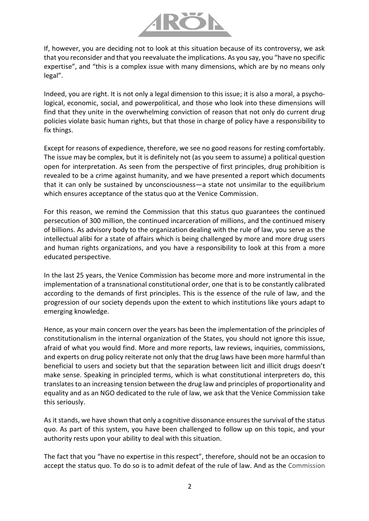

If, however, you are deciding not to look at this situation because of its controversy, we ask that you reconsider and that you reevaluate the implications. As you say, you "have no specific expertise", and "this is a complex issue with many dimensions, which are by no means only legal".

Indeed, you are right. It is not only a legal dimension to this issue; it is also a moral, a psychological, economic, social, and powerpolitical, and those who look into these dimensions will find that they unite in the overwhelming conviction of reason that not only do current drug policies violate basic human rights, but that those in charge of policy have a responsibility to fix things.

Except for reasons of expedience, therefore, we see no good reasons for resting comfortably. The issue may be complex, but it is definitely not (as you seem to assume) a political question open for interpretation. As seen from the perspective of first principles, drug prohibition is revealed to be a crime against humanity, and we have presented a report which documents that it can only be sustained by unconsciousness—a state not unsimilar to the equilibrium which ensures acceptance of the status quo at the Venice Commission.

For this reason, we remind the Commission that this status quo guarantees the continued persecution of 300 million, the continued incarceration of millions, and the continued misery of billions. As advisory body to the organization dealing with the rule of law, you serve as the intellectual alibi for a state of affairs which is being challenged by more and more drug users and human rights organizations, and you have a responsibility to look at this from a more educated perspective.

In the last 25 years, the Venice Commission has become more and more instrumental in the implementation of a transnational constitutional order, one that is to be constantly calibrated according to the demands of first principles. This is the essence of the rule of law, and the progression of our society depends upon the extent to which institutions like yours adapt to emerging knowledge.

Hence, as your main concern over the years has been the implementation of the principles of constitutionalism in the internal organization of the States, you should not ignore this issue, afraid of what you would find. More and more reports, law reviews, inquiries, commissions, and experts on drug policy reiterate not only that the drug laws have been more harmful than beneficial to users and society but that the separation between licit and illicit drugs doesn't make sense. Speaking in principled terms, which is what constitutional interpreters do, this translates to an increasing tension between the drug law and principles of proportionality and equality and as an NGO dedicated to the rule of law, we ask that the Venice Commission take this seriously.

As it stands, we have shown that only a cognitive dissonance ensures the survival of the status quo. As part of this system, you have been challenged to follow up on this topic, and your authority rests upon your ability to deal with this situation.

The fact that you "have no expertise in this respect", therefore, should not be an occasion to accept the status quo. To do so is to admit defeat of the rule of law. And as the Commission